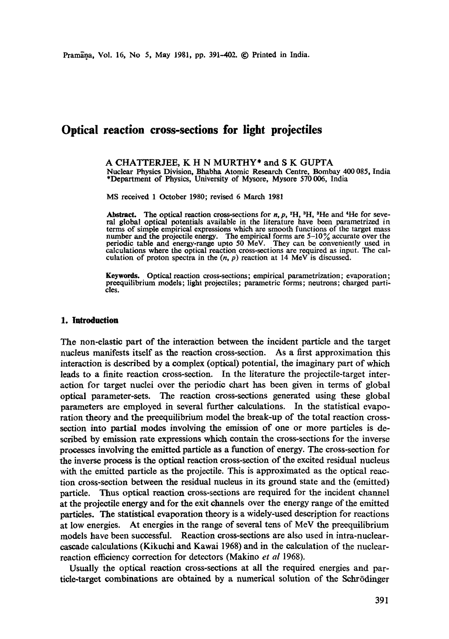# **Optical reaction cross-sections for light projectiles**

A CHATTERJEE, K H N MURTHY\* and S K GUPTA Nuclear Physics Division, Bhabha Atomic Research Centre, Bombay 400 085, India \*Department of Physics, University of Mysore, Mysore 570 006, India

MS received 1 October 1980; revised 6 March 1981

Abstract. The optical reaction cross-sections for  $n$ ,  $p$ ,  $^2H$ ,  $^3H$ ,  $^3He$  and  $^4He$  for several global optical potentials available in the literature have been parametrized in terms of simple empirical expressions which are smooth functions of the target mass number and the projectile energy. The empirical forms are  $5-10\%$  accurate over the periodic table and energy-range upto 50 MeV. They cant be conveniently used in calculations where the optical reaction cross-sections are required as input. The calculation of proton spectra in the  $(n, p)$  reaction at 14 MeV is discussed.

**Keywords.** Optical reaction cross-sections; empirical parametrization; evaporation; preequilibrium models; light projectiles; parametric forms; neutrons; charged particles.

#### **l. Introduction**

The non-elastic part of the interaction between the incident particle and the target nucleus manifests itself as the reaction cross-section. As a first approximation this interaction is described by a complex (optical) potential, the imaginary part of which leads to a finite reaction cross-section. In the literature the projectile-target interaction for target nuclei over the periodic chart has been given in terms of global optical parameter-sets. The reaction cross-sections generated using these global parameters are employed in several further calculations. In the statistical evaporation theory and the preequilibrium model the break-up of the total reaction crosssection into partial modes involving the emission of one or more particles is described by emission rate expressions which contain the cross-sections for the inverse processes involving the emitted particle as a function of energy. The cross-section for the inverse process is the optical reaction cross-section of the excited residual nucleus with the emitted particle as the projectile. This is approximated as the optical reaction cross-section between the residual nucleus in its ground state and the (emitted) particle. Thus optical reaction cross-sections are required for the incident channel at the projectile energy and for the exit channels over the energy range of the emitted particles. The statistical evaporation theory is a widely-used description for reactions at low energies. At energies in the range of several tens of MeV the preequilibrium models have been successful. Reaction cross-sections are also used in intra-nuclearcascade calculations (Kikuchi and Kawai 1968) and in the calculation of the nuclearreaction efficiency correction for detectors (Makino *et al* 1968).

Usually the optical reaction cross-sections at all the required energies and partide-target combinations are obtained by a numerical solution of the Sehrddinger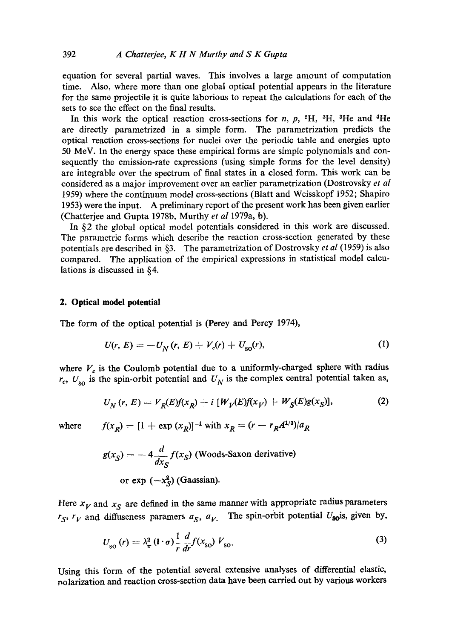equation for several partial waves. This involves a large amount of computation time. Also, where more than one global optical potential appears in the literature for the same projectile it is quite laborious to repeat the calculations for each of the sets to see the effect on the final results.

In this work the optical reaction cross-sections for *n*,  $p$ , <sup>2</sup>H, <sup>3</sup>H, <sup>3</sup>He and <sup>4</sup>He are directly parametrized in a simple form. The parametrization predicts the optical reaction cross-sections for nuclei over the periodic table and energies upto 50 MeV. In the energy space these empirical forms are simple polynomials and consequently the emission-rate expressions (using simple forms for the level density) are integrable over the spectrum of final states in a closed form. This work can be considered as a major improvement over an earlier parametrization (Dostrovsky *et al*  1959) where the continuum model cross-sections (Blatt and Weisskopf 1952; Shapiro 1953) were the input. A preliminary report of the present work has been given earlier (Chatterjee and Gupta 1978b, Murthy *et al* 1979a, b).

In §2 the global optical model potentials considered in this work are discussed. The parametric forms which describe the reaction cross-section generated by these potentials are described in §3. The parametrization of Dostrovsky *et al* (1959) is also compared. The application of the empirical expressions in statistical model calculations is discussed in §4.

## **2. Optical model potential**

The form of the optical potential is (Perey and Perey 1974),

$$
U(r, E) = -U_N(r, E) + V_c(r) + U_{so}(r),
$$
\n(1)

where  $V_c$  is the Coulomb potential due to a uniformly-charged sphere with radius  $r_c$ ,  $U_{so}$  is the spin-orbit potential and  $U_N$  is the complex central potential taken as,

$$
U_N(r, E) = V_R(E)f(x_R) + i [W_V(E)f(x_V) + W_S(E)g(x_S)],
$$
 (2)

where 
$$
f(x_R) = [1 + \exp(x_R)]^{-1}
$$
 with  $x_R = (r - r_R A^{1/3})/a_R$ 

$$
g(x_S) = -4 \frac{d}{dx_S} f(x_S)
$$
 (Woods-Saxon derivative)  
or exp  $(-x_S^2)$  (Gaussian).

Here  $x_V$  and  $x_S$  are defined in the same manner with appropriate radius parameters  $r_S$ ,  $r_V$  and diffuseness paramers  $a_S$ ,  $a_V$ . The spin-orbit potential  $U_{\text{so}}$ is, given by,

$$
U_{\rm SO}(r) = \lambda_{\pi}^2 \left( \mathbf{I} \cdot \boldsymbol{\sigma} \right) \frac{1}{r} \frac{d}{dr} f(x_{\rm SO}) \ V_{\rm SO}.
$$
 (3)

Using this form of the potential several extensive analyses of differential elastic, nolarization and reaction cross-section data have been carried out by various workers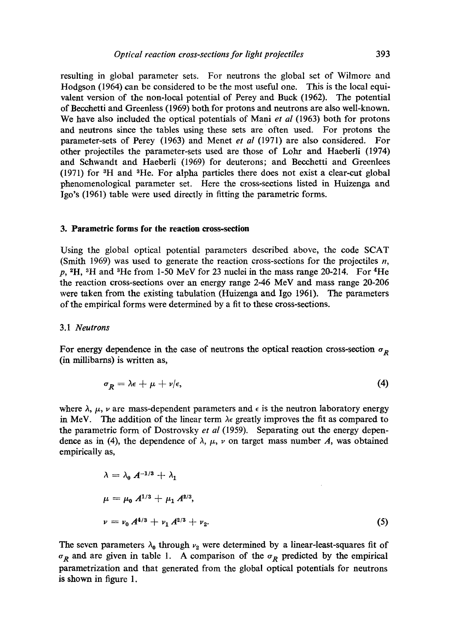resulting in global parameter sets. For neutrons the global set of Wilmore and Hodgson (1964) can be considered to be the most useful one. This is the local equivalent version of the non-local potential of Perey and Buck (1962). The potential of Becchetti and Greenless (1969) both for protons and neutrons are also well-known. We have also included the optical potentials of Mani *et al* (1963) both for protons and neutrons since the tables using these sets are~often used. For protons the parameter-sets of Perey (1963) and Menet *et al* (1971) are also considered. For other projectiles the parameter-sets used are those of Lohr and Haeberli (1974) and Schwandt and Haeberli (1969) for deuterons; and Beechetti and Greenlees  $(1971)$  for  ${}^{3}H$  and  ${}^{3}He$ . For alpha particles there does not exist a clear-cut global phenomenological parameter set. Here the cross-sections listed in Huizenga and Igo's (1961) table were used directly in fitting the parametric forms.

#### **3. Parametric forms for the reaction cross-section**

Using the global optical potential parameters described above, the code SCAT (Smith 1969) was used to generate the reaction cross-sections for the projectiles  $n$ ,  $p, ^{2}H, ^{3}H$  and <sup>3</sup>He from 1-50 MeV for 23 nuclei in the mass range 20-214. For <sup>4</sup>He the reaction cross-sections over an energy range 2-46 MeV and mass range 20-206 were taken from the existing tabulation (Huizenga and Igo 1961). The parameters of the empirical forms were determined by a fit to these cross-sections.

#### *3.1 Neutrons*

For energy dependence in the case of neutrons the optical reaction cross-section  $\sigma_p$ (in millibarns) is written as,

$$
\sigma_R = \lambda \epsilon + \mu + \nu/\epsilon, \tag{4}
$$

where  $\lambda$ ,  $\mu$ ,  $\nu$  are mass-dependent parameters and  $\epsilon$  is the neutron laboratory energy in MeV. The addition of the linear term  $\lambda \epsilon$  greatly improves the fit as compared to the parametric form of Dostrovsky *et al* (1959). Separating out the energy dependence as in (4), the dependence of  $\lambda$ ,  $\mu$ ,  $\nu$  on target mass number A, was obtained empirically as,

$$
\lambda = \lambda_0 A^{-1/3} + \lambda_1
$$
  
\n
$$
\mu = \mu_0 A^{1/3} + \mu_1 A^{2/3},
$$
  
\n
$$
\nu = \nu_0 A^{4/3} + \nu_1 A^{2/3} + \nu_2.
$$
\n(5)

The seven parameters  $\lambda_0$  through  $\nu_2$  were determined by a linear-least-squares fit of  $\sigma_R$  and are given in table 1. A comparison of the  $\sigma_R$  predicted by the empirical parametrization and that generated from the global optical potentials for neutrons is shown in figure 1.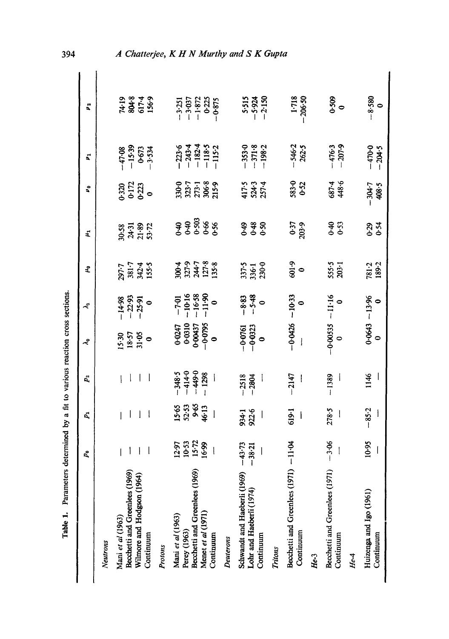|                                             | P.                               | Ď,               | $P_{2}$                                    | ⊰                                            | $\tilde{\mathcal{L}}$                       | £                                | $\ddot{a}$                      | å,                                                  | 2                                                        | p e                                                      |
|---------------------------------------------|----------------------------------|------------------|--------------------------------------------|----------------------------------------------|---------------------------------------------|----------------------------------|---------------------------------|-----------------------------------------------------|----------------------------------------------------------|----------------------------------------------------------|
| Neutrons                                    |                                  |                  |                                            |                                              |                                             |                                  |                                 |                                                     |                                                          |                                                          |
| Mani et al (1963)                           |                                  |                  |                                            |                                              |                                             |                                  |                                 |                                                     |                                                          |                                                          |
| Becchetti and Greenlees (1969)              |                                  |                  |                                            |                                              |                                             |                                  |                                 |                                                     |                                                          |                                                          |
| Wilmore and Hodgson (1964)                  |                                  |                  |                                            | 15.57<br>18.57<br>31.05                      | $-14.98$<br>$-22.93$<br>$-25.91$<br>$-$     | 297.7<br>381.7<br>155.4<br>155.5 | 30.58<br>24.31<br>53.72         | 0.323<br>SCS-0<br>O-223                             |                                                          |                                                          |
| Continuum                                   |                                  |                  |                                            |                                              |                                             |                                  |                                 |                                                     | $-47.08$<br>$-15.39$<br>$0.673$<br>$-3.534$              | 74.19<br>804.8<br>156.9                                  |
| Protons                                     |                                  |                  |                                            |                                              |                                             |                                  |                                 |                                                     |                                                          |                                                          |
| Mani et al (1963)                           |                                  |                  |                                            |                                              |                                             |                                  |                                 |                                                     |                                                          |                                                          |
| Perey (1963)                                | 12:97<br>10:53<br>15:72<br>16:99 | 533613<br>536513 | $-348.5$<br>$-414.0$<br>$+49.0$<br>$+1298$ | $0.0247$<br>0.0310<br>0.00437<br>0.0795<br>0 | $-7.01$<br>$-10.16$<br>$-16.58$<br>$-11.90$ | 30047<br>327.3<br>127.8<br>135.8 | $7.5888$<br>$0.5988$<br>$0.598$ | $330-0$<br>$323-7$<br>$273-1$<br>$306-8$<br>$215-9$ |                                                          |                                                          |
| Becchetti and Greenlees (1969)              |                                  |                  |                                            |                                              |                                             |                                  |                                 |                                                     |                                                          |                                                          |
| Menet et al (1971)                          |                                  |                  |                                            |                                              |                                             |                                  |                                 |                                                     |                                                          |                                                          |
| Continuum                                   |                                  |                  |                                            |                                              |                                             |                                  |                                 |                                                     | $-223.6$<br>$-243.4$<br>$-118.5$<br>$-115.2$<br>$-115.2$ | $-3.251$<br>$-3.037$<br>$-1.872$<br>$-0.225$<br>$-0.255$ |
| Deuterons                                   |                                  |                  |                                            |                                              |                                             |                                  |                                 |                                                     |                                                          |                                                          |
| Schwandt and Haeberli (1969)                | $-43.73$<br>$-38.21$             | 934-1<br>922-6   | 2518                                       | $-0.0761$<br>$-0.0323$                       |                                             |                                  |                                 |                                                     |                                                          |                                                          |
| Lohr and Haeberli (1974)                    |                                  |                  |                                            |                                              | $-8.83$<br>$-5.48$                          | 337-5<br>336-1<br>230-0          | <b>२३</b><br>२००                | 417-5<br>524-3<br>257-4                             | $-3530$<br>$-371.8$<br>$-198.2$                          | 5.534<br>5.924<br>2.150                                  |
| Continuum                                   |                                  |                  |                                            |                                              |                                             |                                  |                                 |                                                     |                                                          |                                                          |
| <b>Tritons</b>                              |                                  |                  |                                            |                                              |                                             |                                  |                                 |                                                     |                                                          |                                                          |
| Becchetti and Greenlees (1971)              | $-11.04$                         | 619.1            | $-2147$                                    | $-0.0426$                                    | $-10.33$                                    | 6.109                            |                                 |                                                     |                                                          |                                                          |
| Continuum                                   |                                  |                  |                                            |                                              |                                             |                                  | 0.37<br>03.9                    | 583-0<br>0-52                                       | 546.2<br>262.5                                           | 1.718<br>206.50                                          |
| He-3                                        |                                  |                  |                                            |                                              |                                             |                                  |                                 |                                                     |                                                          |                                                          |
| Becchetti and Greenlees (1971)<br>Continuum | 3.06                             | 278.5            | $-1389$                                    | 0-00535<br>$\circ$                           | $-11.16$<br>$\circ$                         | 555-5<br>203-1                   | 0-53                            | 687.4<br>448.6                                      | $-476.3$<br>$-207.9$                                     | 0.509                                                    |
| $He-4$                                      |                                  |                  |                                            |                                              |                                             |                                  |                                 |                                                     |                                                          |                                                          |
| Huizenga and Igo (1961)                     | 10.95                            | 85.2             | 1146                                       | $0.0643$ .                                   | $-13.96$                                    | 781.2<br>189-2                   | $0.29$<br>$0.54$                | -304-7<br>408-5                                     | $-470.0$<br>-204.5                                       | $-8.580$                                                 |
| Continuum                                   |                                  |                  |                                            |                                              |                                             |                                  |                                 |                                                     |                                                          |                                                          |

394

# A Chatterjee, K H N Murthy and S K Gupta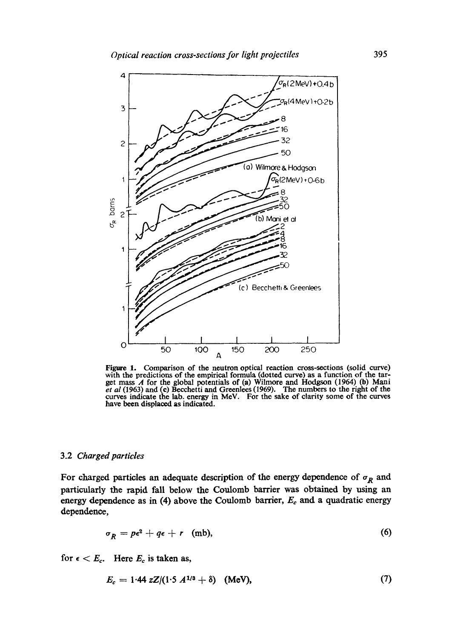

Figure 1. Comparison of the neutron optical reaction cross-sections (solid curve) with the predictions of the empirical formula (dotted curve) as a function of the target mass  $\Lambda$  for the global potentials of (a) Wilmore and Hodgson (1964) (b) Mani *et al* (1963) and (c) Becchetti and Greenlees (1969) curves indicate the lab. energy in MeV. For the sake of clarity some of the curves have been displaced as indicated.

## 3.2 *Charged particles*

For charged particles an adequate description of the energy dependence of  $\sigma_R$  and particularly the rapid fall below the Coulomb barrier was obtained by using an energy dependence as in (4) above the Coulomb barrier,  $E_c$  and a quadratic energy dependence,

$$
\sigma_R = p\epsilon^2 + q\epsilon + r \quad \text{(mb)}, \tag{6}
$$

for  $\epsilon < E_c$ . Here  $E_c$  is taken as,

$$
E_c = 1.44 \, zZ/(1.5 \, A^{1/3} + \delta) \quad (\text{MeV}), \tag{7}
$$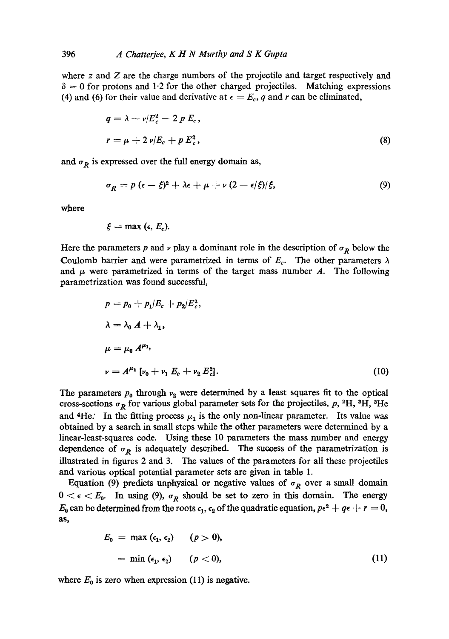where  $z$  and  $\overline{z}$  are the charge numbers of the projectile and target respectively and  $\delta = 0$  for protons and 1.2 for the other charged projectiles. Matching expressions (4) and (6) for their value and derivative at  $\epsilon = E_c$ , q and r can be eliminated,

$$
q = \lambda - \nu/E_c^2 - 2 p E_c,
$$
  

$$
r = \mu + 2 \nu/E_c + p E_c^2,
$$
 (8)

and  $\sigma_R$  is expressed over the full energy domain as,

$$
\sigma_R = p \left( \epsilon - \xi \right)^2 + \lambda \epsilon + \mu + \nu \left( 2 - \epsilon/\xi \right) / \xi, \tag{9}
$$

where

$$
\xi = \max (\epsilon, E_c).
$$

Here the parameters p and v play a dominant role in the description of  $\sigma_R$  below the Coulomb barrier and were parametrized in terms of  $E_c$ . The other parameters  $\lambda$ and  $\mu$  were parametrized in terms of the target mass number A. The following parametrization was found successful,

$$
p = p_0 + p_1/E_c + p_2/E_c^2,
$$
  
\n
$$
\lambda = \lambda_0 A + \lambda_1,
$$
  
\n
$$
\mu = \mu_0 A^{\mu_1},
$$
  
\n
$$
\nu = A^{\mu_1} [\nu_0 + \nu_1 E_c + \nu_2 E_c^2].
$$
\n(10)

The parameters  $p_0$  through  $v_2$  were determined by a least squares fit to the optical cross-sections  $\sigma_R$  for various global parameter sets for the projectiles, p, <sup>2</sup>H, <sup>3</sup>H, <sup>3</sup>He and <sup>4</sup>He.' In the fitting process  $\mu_1$  is the only non-linear parameter. Its value was obtained by a search in small steps while the other parameters were determined by a linear-least-squares code. Using these 10 parameters the mass number and energy dependence of  $\sigma_R$  is adequately described. The success of the parametrization is illustrated in figures 2 and 3. The values of the parameters for all these projectiles and various optical potential parameter sets are given in table 1.

Equation (9) predicts unphysical or negative values of  $\sigma_R$  over a small domain  $0 < \epsilon < E_0$ . In using (9),  $\sigma_R$  should be set to zero in this domain. The energy  $E_0$  can be determined from the roots  $\epsilon_1$ ,  $\epsilon_2$  of the quadratic equation,  $p\epsilon^2 + q\epsilon + r = 0$ , aS,

$$
E_0 = \max (\epsilon_1, \epsilon_2) \qquad (p > 0),
$$
  
=  $\min (\epsilon_1, \epsilon_2) \qquad (p < 0),$  (11)

where  $E_0$  is zero when expression (11) is negative.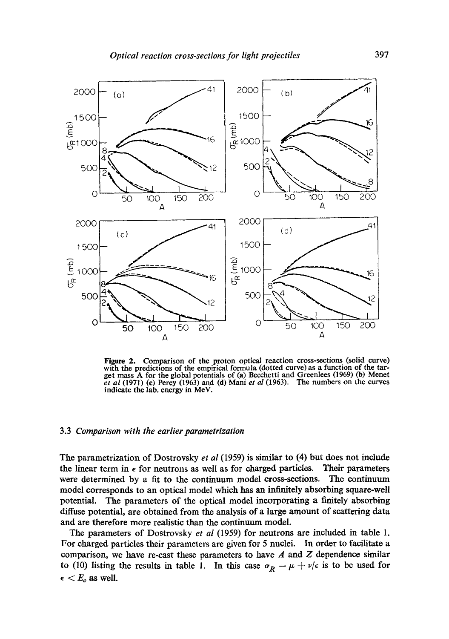

Figure 2. Comparison of the proton optical reaction cross-sections (solid curve) with the predictions of the empirical formula (dotted curve) as a function of the target mass A for the global potentials of (a) Becchetti and Greenlees (1969) (b) Menet *et al* (1971) (c) Percy (1963) and (d) Mani *et al* (1963). The numbers on the curves indicate the lab. energy in MeV.

# 3.3 *Comparison with the earlier parametrization*

The parametrization of Dostrovsky *et al* (1959) is similar to (4) but does not include the linear term in  $\epsilon$  for neutrons as well as for charged particles. Their parameters were determined by a fit to the continuum model cross-sections. The continuum model corresponds to an optical model which has an infinitely absorbing square-well potential. The parameters of the optical model incorporating a finitely absorbing diffuse potential, are obtained from the analysis of a large amount of scattering data and are therefore more realistic than the continuum model.

The parameters of Dostrovsky *et al* (1959) for neutrons are included in table 1. For charged particles their parameters are given for 5 nuclei. In order to facilitate a comparison, we have re-cast these parameters to have  $A$  and  $Z$  dependence similar to (10) listing the results in table 1. In this case  $\sigma_R = \mu + \nu/\epsilon$  is to be used for  $\epsilon < E_c$  as well.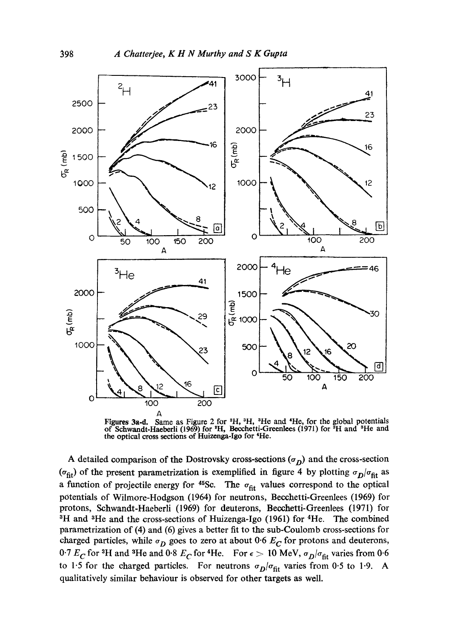

Figures 3a-d. Same as Figure 2 for  $^2H$ ,  $^3H$ ,  $^8He$  and  $^4He$ , for the global potentials of Schwandt-Haeberli (1969) for <sup>2</sup>H, Becchetti-Greenlees (1971) for <sup>3</sup>H and <sup>3</sup>He and the optical cross sections of Huizenga-Igo for 4He.

A detailed comparison of the Dostrovsky cross-sections ( $\sigma_D$ ) and the cross-section ( $\sigma_{\text{fit}}$ ) of the present parametrization is exemplified in figure 4 by plotting  $\sigma_D/\sigma_{\text{fit}}$  as a function of projectile energy for  $45$ Sc. The  $\sigma_{\text{fit}}$  values correspond to the optical potentials of Wilmore-Hodgson (1964) for neutrons, Becchetti-Greenlees (1969) for protons, Schwandt-Haeberli (1969) for deuterons, Becchetti-Greenlees (1971) for <sup>3</sup>H and <sup>3</sup>He and the cross-sections of Huizenga-Igo (1961) for <sup>4</sup>He. The combined parametrization of (4) and (6) gives a better fit to the sub-Coulomb cross-sections for charged particles, while  $\sigma_D$  goes to zero at about 0.6  $E_C$  for protons and deuterons, 0.7  $E_C$  for <sup>3</sup>H and <sup>3</sup>He and 0.8  $E_C$  for <sup>4</sup>He. For  $\epsilon > 10$  MeV,  $\sigma_D/\sigma_{\text{fit}}$  varies from 0.6 to 1.5 for the charged particles. For neutrons  $\sigma_D/\sigma_{\text{fit}}$  varies from 0.5 to 1.9. A qualitatively similar behaviour is observed for other targets as well.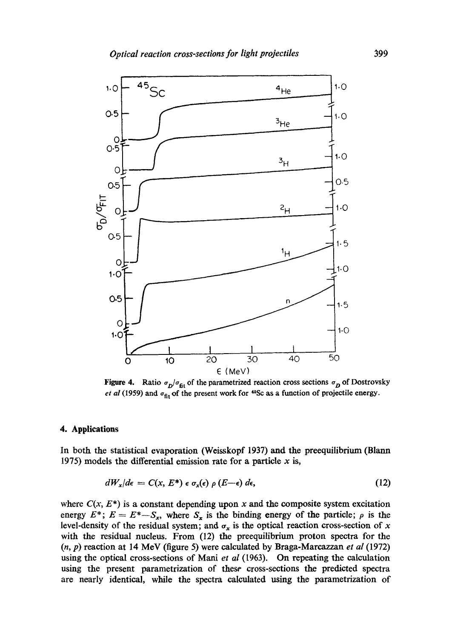

Figure 4. Ratio  $\sigma_D/\sigma_{\text{fit}}$  of the parametrized reaction cross sections  $\sigma_D$  of Dostrovsky *et al* (1959) and  $\sigma_{\text{fit}}$  of the present work for <sup>45</sup>Sc as a function of projectile energy.

## **4. Applications**

In both the statistical evaporation (Weisskopf 1937) and the preequilibrium (Blann 1975) models the differential emission rate for a particle  $x$  is,

$$
dW_x/d\epsilon = C(x, E^*) \epsilon \sigma_x(\epsilon) \rho(E-\epsilon) d\epsilon, \qquad (12)
$$

where  $C(x, E^*)$  is a constant depending upon x and the composite system excitation energy  $E^*$ ;  $E = E^* - S_x$ , where  $S_x$  is the binding energy of the particle;  $\rho$  is the level-density of the residual system; and  $\sigma_x$  is the optical reaction cross-section of x with the residual nucleus. From (12) the preequilibrium proton spectra for the (n, p) reaction at 14 MeV (figure 5) were calculated by Braga-Mareazzan *et al* (1972) using the optical cross-sections of Mani *et al* (1963). On repeating the calculation using the present parametrization of these cross-sections the predicted spectra are nearly identical, while the spectra calculated using the parametrization of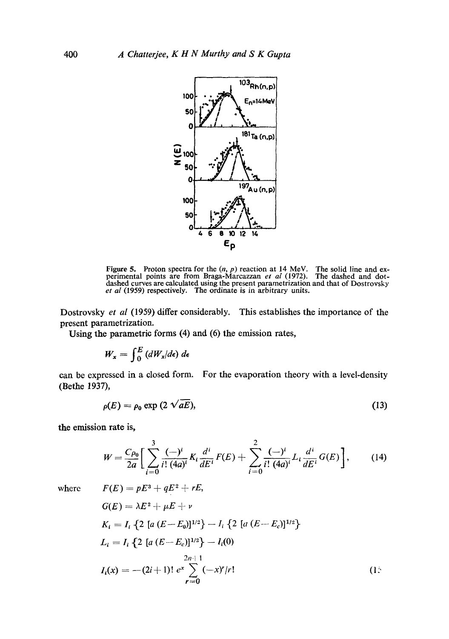

Figure 5. Proton spectra for the  $(n, p)$  reaction at 14 MeV. The solid line and experimental points are from Braga-Marcazzan *et al* (1972). The dashed and dot-<br>dashed curves are calculated using the present parametrizatio *et al* (1959) respectively. The ordinate is in arbitrary units.

Dostrovsky *et al* (1959) differ considerably. This establishes the importance of the **present parametrization.** 

Using the parametric forms  $(4)$  and  $(6)$  the emission rates,

$$
W_x = \int_0^E (dW_x/d\epsilon) \, d\epsilon
$$

can be expressed in a closed form. For the evaporation theory with a level-density (Bethe 1937),

$$
\rho(E) = \rho_0 \exp(2\sqrt{aE}),\tag{13}
$$

the emission rate is,

$$
W = \frac{C_{\rho_0}}{2a} \bigg[ \sum_{i=0}^3 \frac{(-)^i}{i! \, (4a)^i} K_i \frac{d^i}{dE^i} F(E) + \sum_{i=0}^2 \frac{(-)^i}{i! \, (4a)^i} L_i \frac{d^i}{dE^i} G(E) \bigg],\tag{14}
$$

where

$$
F(E) = pE^3 + qE^2 + rE,
$$
  
\n
$$
G(E) = \lambda E^2 + \mu E + \nu
$$
  
\n
$$
K_i = I_i \{2 [a (E - E_0)]^{1/2}\} - I_i \{2 [a (E - E_c)]^{1/2}\}
$$
  
\n
$$
L_i = I_i \{2 [a (E - E_c)]^{1/2}\} - I_i(0)
$$
  
\n
$$
I_i(x) = -(2i + 1)! e^x \sum_{r=0}^{2n+1} (-x)^r/r!
$$
 (1: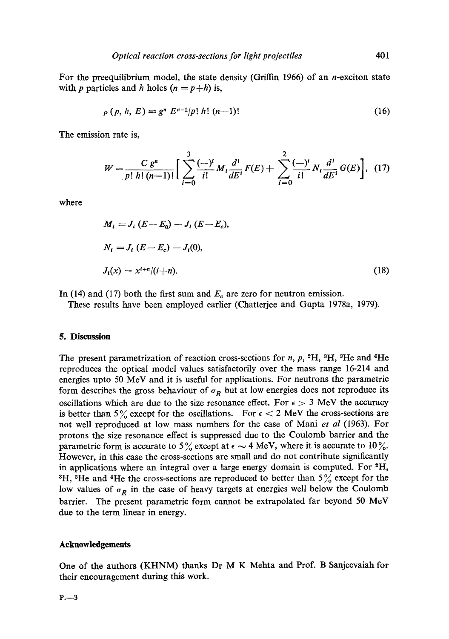For the preequilibrium model, the state density (Griffin 1966) of an *n*-exciton state with p particles and h holes  $(n = p+h)$  is,

$$
\rho(p, h, E) = g^n E^{n-1}/p! h! (n-1)!
$$
\n(16)

The emission rate is,

$$
W = \frac{C g^n}{p! \; h! \; (n-1)!} \left[ \sum_{i=0}^3 \frac{(-)^i}{i!} M_i \frac{d^i}{dE^i} F(E) + \sum_{i=0}^2 \frac{(-)^i}{i!} N_i \frac{d^i}{dE^i} G(E) \right], \tag{17}
$$

where

$$
M_{i} = J_{i} (E - E_{0}) - J_{i} (E - E_{c}),
$$
  
\n
$$
N_{i} = J_{i} (E - E_{c}) - J_{i}(0),
$$
  
\n
$$
J_{i}(x) = x^{i+n}/(i+n).
$$
\n(18)

In (14) and (17) both the first sum and  $E<sub>c</sub>$  are zero for neutron emission.

These results have been employed earlier (Chatterjee and Gupta 1978a, 1979).

### **5. Discussion**

The present parametrization of reaction cross-sections for *n*,  $p$ ,  $^{2}H$ ,  $^{3}H$ ,  $^{3}He$  and  $^{4}He$ reproduces the optical model values satisfactorily over the mass range 16-214 and energies upto 50 MeV and it is useful for applications. For neutrons the parametric form describes the gross behaviour of  $\sigma_R$  but at low energies does not reproduce its oscillations which are due to the size resonance effect. For  $\epsilon > 3$  MeV the accuracy is better than 5% except for the oscillations. For  $\epsilon < 2$  MeV the cross-sections are not well reproduced at low mass numbers for the case of Mani *et al* (1963). For protons the size resonance effect is suppressed due to the Coulomb barrier and the parametric form is accurate to 5% except at  $\epsilon \sim 4$  MeV, where it is accurate to 10%. However, in this case the cross-sections are small and do not contribute significantly in applications where an integral over a large energy domain is computed. For <sup>2</sup>H, <sup>3</sup>H, <sup>3</sup>He and <sup>4</sup>He the cross-sections are reproduced to better than  $5\%$  except for the low values of  $\sigma_R$  in the case of heavy targets at energies well below the Coulomb barrier. The present parametric form cannot be extrapolated far beyond 50 MeV due to the term linear in energy.

# **Acknowledgements**

One of the authors (KHNM) thanks Dr M K Mehta and Prof. B Sanjeevaiah for their encouragement during this work.